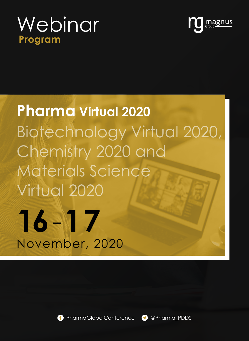## **Program** Webinar



# **16**-**17** November, 2020 **Pharma Virtual 2020** Biotechnology Virtual 2020, Chemistry 2020 and Materials Science Virtual 2020



PharmaGlobalConference **D** @Pharma PDDS

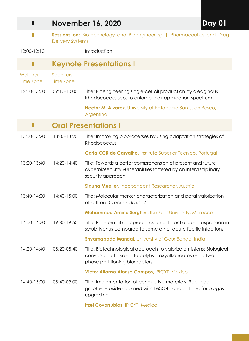| П                           |                                                                                                   | Day 01<br><b>November 16, 2020</b>                                                                                                                                |  |
|-----------------------------|---------------------------------------------------------------------------------------------------|-------------------------------------------------------------------------------------------------------------------------------------------------------------------|--|
| П                           | Sessions on: Biotechnology and Bioengineering   Pharmaceutics and Drug<br><b>Delivery Systems</b> |                                                                                                                                                                   |  |
| 12:00-12:10                 |                                                                                                   | Introduction                                                                                                                                                      |  |
| П                           |                                                                                                   | <b>Keynote Presentations I</b>                                                                                                                                    |  |
| Webinar<br><b>Time Zone</b> | <b>Speakers</b><br><b>Time Zone</b>                                                               |                                                                                                                                                                   |  |
| 12:10-13:00                 | 09:10-10:00                                                                                       | Title: Bioengineering single-cell oil production by oleaginous<br>Rhodococcus spp. to enlarge their application spectrum                                          |  |
|                             |                                                                                                   | Hector M. Alvarez, University of Patagonia San Juan Bosco,<br>Argentina                                                                                           |  |
|                             |                                                                                                   | <b>Oral Presentations I</b>                                                                                                                                       |  |
| 13:00-13:20                 | 13:00-13:20                                                                                       | Title: Improving bioprocesses by using adaptation strategies of<br>Rhodococcus                                                                                    |  |
|                             |                                                                                                   | <b>Carla CCR de Carvalho, Instituto Superior Tecnico, Portugal</b>                                                                                                |  |
| 13:20-13:40                 | 14:20-14:40                                                                                       | Title: Towards a better comprehension of present and future<br>cyberbiosecurity vulnerabilities fostered by an interdisciplinary<br>security approach             |  |
|                             |                                                                                                   | Siguna Mueller, Independent Researcher, Austria                                                                                                                   |  |
| 13:40-14:00                 | 14:40-15:00                                                                                       | Title: Molecular marker characterization and petal valorization<br>of saffron 'Crocus sativus L.'                                                                 |  |
|                             |                                                                                                   | <b>Mohammed Amine Serghini</b> , Ibn Zohr University, Morocco                                                                                                     |  |
| 14:00-14:20                 | 19:30-19:50                                                                                       | Title: Bioinformatic approaches on differential gene expression in<br>scrub typhus compared to some other acute febrile infections                                |  |
|                             |                                                                                                   | <b>Shyamapada Mandal</b> , University of Gour Banga, India                                                                                                        |  |
| 14:20-14:40                 | 08:20-08:40                                                                                       | Title: Biotechnological approach to valorize emissions: Biological<br>conversion of styrene to polyhydroxyalkanoates using two-<br>phase partitioning bioreactors |  |
|                             |                                                                                                   | Victor Alfonso Alonso Campos, IPICYT, Mexico                                                                                                                      |  |
| 14:40-15:00                 | 08:40-09:00                                                                                       | Title: Implementation of conductive materials: Reduced<br>graphene oxide adorned with Fe3O4 nanoparticles for biogas<br>upgrading                                 |  |
|                             |                                                                                                   | Itzel Covarrubias, IPICYT, Mexico                                                                                                                                 |  |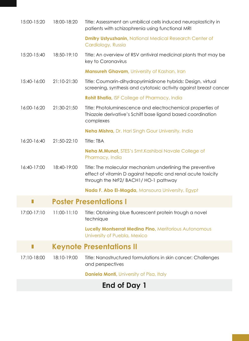| 15:00-15:20                        | 18:00-18:20 | Title: Assessment an umbilical cells induced neuroplasticity in<br>patients with schizophrenia using functional MRI                                                |  |  |
|------------------------------------|-------------|--------------------------------------------------------------------------------------------------------------------------------------------------------------------|--|--|
|                                    |             | <b>Dmitry Ustyuzhanin, National Medical Research Center of</b><br>Cardiology, Russia                                                                               |  |  |
| 15:20-15:40                        | 18:50-19:10 | Title: An overview of RSV antiviral medicinal plants that may be<br>key to Coronavirus                                                                             |  |  |
|                                    |             | Mansureh Ghavam, University of Kashan, Iran                                                                                                                        |  |  |
| 15:40-16:00                        | 21:10-21:30 | Title: Coumarin-dihydropyrimidinone hybrids: Design, virtual<br>screening, synthesis and cytotoxic activity against breast cancer                                  |  |  |
|                                    |             | <b>Rohit Bhatia, ISF College of Pharmacy, India</b>                                                                                                                |  |  |
| 16:00-16:20                        | 21:30-21:50 | Title: Photoluminescence and electrochemical properties of<br>Thiazole derivative's Schiff base ligand based coordination<br>complexes                             |  |  |
|                                    |             | Neha Mishra, Dr. Hari Singh Gour University, India                                                                                                                 |  |  |
| 16:20-16:40                        | 21:50-22:10 | Title: TBA                                                                                                                                                         |  |  |
|                                    |             | <b>Neha M.Munot, STES's Smt.Kashibai Navale College of</b><br>Pharmacy, India                                                                                      |  |  |
| 16:40-17:00                        | 18:40-19:00 | Title: The molecular mechanism underlining the preventive<br>effect of vitamin D against hepatic and renal acute toxicity<br>through the NrF2/ BACH1/ HO-1 pathway |  |  |
|                                    |             | Nada F. Abo El-Magda, Mansoura University, Egypt                                                                                                                   |  |  |
| <b>Poster Presentations I</b><br>П |             |                                                                                                                                                                    |  |  |
| 17:00-17:10                        | 11:00-11:10 | Title: Obtaining blue fluorescent protein trough a novel<br>technique                                                                                              |  |  |
|                                    |             | Lucelly Montserrat Medina Pino, Meritorious Autonomous<br>University of Puebla, Mexico                                                                             |  |  |
|                                    |             | <b>Keynote Presentations II</b>                                                                                                                                    |  |  |
| 17:10-18:00                        | 18:10-19:00 | Title: Nanostructured formulations in skin cancer: Challenges<br>and perspectives                                                                                  |  |  |
|                                    |             | <b>Daniela Monti, University of Pisa, Italy</b>                                                                                                                    |  |  |
| <b>End of Day 1</b>                |             |                                                                                                                                                                    |  |  |

#### **End of Day 1**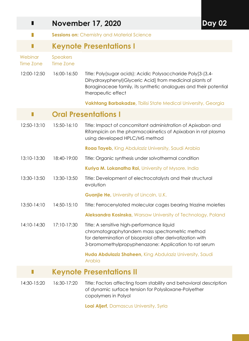| П                    | <b>November 17, 2020</b><br>Day |                                                                                                                                                                                                                    |  |
|----------------------|---------------------------------|--------------------------------------------------------------------------------------------------------------------------------------------------------------------------------------------------------------------|--|
| П                    |                                 | Sessions on: Chemistry and Material Science                                                                                                                                                                        |  |
| П                    |                                 | <b>Keynote Presentations I</b>                                                                                                                                                                                     |  |
| Webinar<br>Time Zone | Speakers<br><b>Time Zone</b>    |                                                                                                                                                                                                                    |  |
| 12:00-12:50          | 16:00-16:50                     | Title: Poly(sugar acids): Acidic Polysaccharide Poly[3-(3,4-<br>Dihydroxyphenyl) Glyceric Acid] from medicinal plants of<br>Boraginaceae family, its synthetic analogues and their potential<br>therapeutic effect |  |
|                      |                                 | <b>Vakhtang Barbakadze, Tbilisi State Medical University, Georgia</b>                                                                                                                                              |  |
|                      |                                 | <b>Oral Presentations I</b>                                                                                                                                                                                        |  |
| 12:50-13:10          | 15:50-16:10                     | Title: Impact of concomitant administration of Apixaban and<br>Rifampicin on the pharmacokinetics of Apixaban in rat plasma<br>using developed HPLC/MS method                                                      |  |
|                      |                                 | Roaa Tayeb, King Abdulaziz University, Saudi Arabia                                                                                                                                                                |  |
| 13:10-13:30          | 18:40-19:00                     | Title: Organic synthesis under solvothermal condition                                                                                                                                                              |  |
|                      |                                 | Kuriya M. Lokanatha Rai, University of Mysore, India                                                                                                                                                               |  |
| 13:30-13:50          | 13:30-13:50                     | Title: Development of electrocatalysts and their structural<br>evolution                                                                                                                                           |  |
|                      |                                 | <b>Guanjie He, University of Lincoln, U.K.</b>                                                                                                                                                                     |  |
| 13:50-14:10          | 14:50-15:10                     | Title: Ferrocenylated molecular cages bearing triazine moieties                                                                                                                                                    |  |
|                      |                                 | Aleksandra Kosinska, Warsaw University of Technology, Poland                                                                                                                                                       |  |
| 14:10-14:30          | 17:10-17:30                     | Title: A sensitive high-performance liquid<br>chromatographytandem mass spectrometric method<br>for determination of bisoprolol after derivatization with<br>3-bromomethylpropyphenazone: Application to rat serum |  |
|                      |                                 | Huda Abdulaziz Shaheen, King Abdulaziz University, Saudi<br>Arabia                                                                                                                                                 |  |
|                      |                                 | <b>Keynote Presentations II</b>                                                                                                                                                                                    |  |
| 14:30-15:20          | 16:30-17:20                     | Title: Factors affecting foam stability and behavioral description<br>of dynamic surface tension for Polysiloxane-Polyether<br>copolymers in Polyol                                                                |  |
|                      |                                 | Loai Aljerf, Damascus University, Syria                                                                                                                                                                            |  |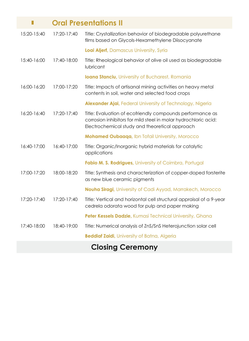|             |             | <b>Oral Presentations II</b>                                                                                                                                                   |
|-------------|-------------|--------------------------------------------------------------------------------------------------------------------------------------------------------------------------------|
| 15:20-15:40 | 17:20-17:40 | Title: Crystallization behavior of biodegradable polyurethane<br>films based on Glycols-Hexamethylene Diisocyanate                                                             |
|             |             | Loai Aljerf, Damascus University, Syria                                                                                                                                        |
| 15:40-16:00 | 17:40-18:00 | Title: Rheological behavior of olive oil used as biodegradable<br>lubricant                                                                                                    |
|             |             | <b>Ioana Stanciu</b> , University of Bucharest, Romania                                                                                                                        |
| 16:00-16:20 | 17:00-17:20 | Title: Impacts of artisanal mining activities on heavy metal<br>contents in soil, water and selected food crops                                                                |
|             |             | <b>Alexander Ajai, Federal University of Technology, Nigeria</b>                                                                                                               |
| 16:20-16:40 | 17:20-17:40 | Title: Evaluation of ecofriendly compounds performance as<br>corrosion inhibitors for mild steel in molar hydrochloric acid:<br>Electrochemical study and theoretical approach |
|             |             | Mohamed Oubaaqa, Ibn Tofail University, Morocco                                                                                                                                |
| 16:40-17:00 | 16:40-17:00 | Title: Organic/Inorganic hybrid materials for catalytic<br>applications                                                                                                        |
|             |             | Fabio M. S. Rodrigues, University of Coimbra, Portugal                                                                                                                         |
| 17:00-17:20 | 18:00-18:20 | Title: Synthesis and characterization of copper-doped forsterite<br>as new blue ceramic pigments                                                                               |
|             |             | <b>Nouha Siragi, University of Cadi Ayyad, Marrakech, Morocco</b>                                                                                                              |
| 17:20-17:40 | 17:20-17:40 | Title: Vertical and horizontal cell structural appraisal of a 9-year<br>cedrela odorata wood for pulp and paper making                                                         |
|             |             | Peter Kessels Dadzie, Kumasi Technical University, Ghana                                                                                                                       |
| 17:40-18:00 | 18:40-19:00 | Title: Numerical analysis of ZnS/SnS Heterojunction solar cell                                                                                                                 |
|             |             | <b>Beddiaf Zaidi</b> , University of Batna, Algeria                                                                                                                            |
|             |             | $\bullet$                                                                                                                                                                      |

#### **Closing Ceremony**